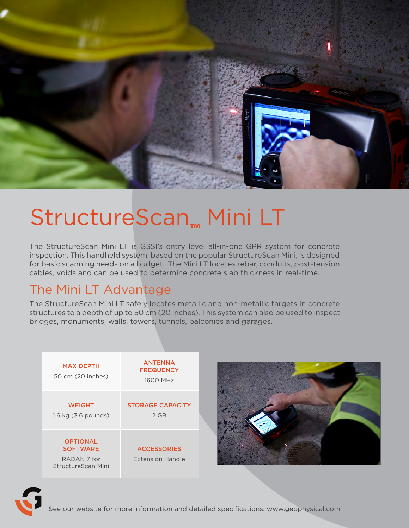

# StructureScan**™** Mini LT

The StructureScan Mini LT is GSSI's entry level all-in-one GPR system for concrete inspection. This handheld system, based on the popular StructureScan Mini, is designed for basic scanning needs on a budget. The Mini LT locates rebar, conduits, post-tension cables, voids and can be used to determine concrete slab thickness in real-time.

### The Mini LT Advantage

The StructureScan Mini LT safely locates metallic and non-metallic targets in concrete structures to a depth of up to 50 cm (20 inches). This system can also be used to inspect bridges, monuments, walls, towers, tunnels, balconies and garages.

| <b>MAX DEPTH</b><br>50 cm (20 inches)                                              | <b>ANTENNA</b><br><b>FREQUENCY</b><br>1600 MHz |
|------------------------------------------------------------------------------------|------------------------------------------------|
| <b>WEIGHT</b><br>1.6 kg (3.6 pounds)                                               | <b>STORAGE CAPACITY</b><br>$2$ GB              |
| <b>OPTIONAL</b><br><b>SOFTWARE</b><br>RADAN <sub>7</sub> for<br>StructureScan Mini | <b>ACCESSORIES</b><br><b>Extension Handle</b>  |





See our website for more information and detailed specifications: www.geophysical.com